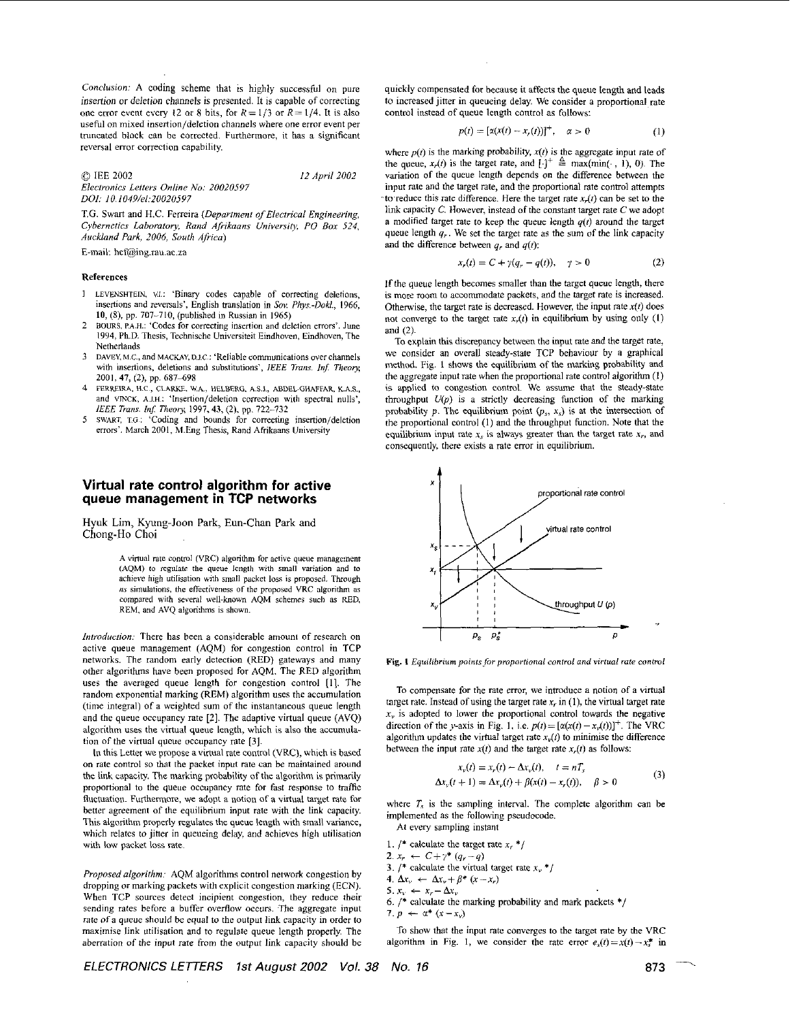Conclusion: A coding scheme that is highly successful on pure insertion or deletion channels is presented. It is capable of correcting one error event every 12 or 8 bits, for  $R = 1/3$  or  $R = 1/4$ . It is also useful on mixed insertion/deletion channels where one error event per truncated block can be corrected. Furthermore, it has a significant **reversal** error correction capability

*0* IEE *<sup>2002</sup> Electronics Letters 0nl;ne Nu: 20020597 DOI: IO. 1049/eI:2UO20597 12 April 2002* 

T.G. Swart and H.C. Ferreira (Department of Electrical Engineering, *Cybernetics Laboratory, Rand Afrikaans University, PO Box 524, Aucklond Park, 2006, South Africa)* 

E-mail: hef@ing.rau.ac.za

## **References**

- 1 LEVENSHTEIN, VI.: 'Binary codes capable of correcting deletions, insertions and revemls', English translation **in** *Sou Phys.-Dokl.,* 1966, **10,** (8). **pp. 707-710,** (published **in** Russian in 1965)
- **BOURS, P.A.H.:** 'Codes **for** correcting insenion and deletion **errors'.** Junc 1994, Ph.D. Thesis, Technische Universiteit Eindhoven, Eindhoven, The Netherlands  $\overline{2}$
- **DAVEY, M.C.,** and **MACKAY. D.I.C.:** 'Reliable communications **over** channels with insertions, deletions and substitutions', *IEEE Trans. Inf. Theory*, **3**  2001, 47, (2), pp. 687-698
- FERREIRA, H.C., CLARKE. W.A., HELBERG, A.S.J., ABDEL-GHAFFAR, K.A.S., and **VINCK**, A.J.H.: 'Insertion/deletion correction with spectral nulls', *IEEE Truns. In\$ Theory,* 1997,43, (2). **pp. 722-732**  4
- *5* SWART, T.G : 'Coding and bounds for correcting insertion/deletion errors'. March 2001, M.Eng Thesis, Rand **Afikaans** University

## **Virtual rate control algorithm for active queue management in TCP networks**

**Hyuk** Lim, Kyung-Joon Park Eun-Chan Park and Chong-Ho Choi

> **A** vimal rate control (VRC) algaithm **for active queue** management **(AQM)** *10* regulate the **queue lcngth** with **small variation** and **to**  achievc high utilisation with small **packet loss** is proposed. Though *ns* simulations, the effectiveness **of** the proposed VRC algorithm **as**  compared with **several** well-known **AQM** schemes **such as** RED, REM, and **AVQ** algorithms **is** shown.

*Introduction:* There has been a considerable amount of research on active queue management (AQM) for congestion control in TCP networks. The random early detection (RED) gateways and many other algorithms have been proposed for AQM. The RED algorithm *uses* the averaged **queue** length far congestion control [I]. The random exponential marking (REM) algorithm **uses** the accumulation (time integral) of **a** weighted sum of the instantaneous queue length and the queue occupancy rate [2]. The adaptive virtual queue (AVQ) algorithm uses the virtual queue length, which is also the accumulation of the virtual queue occupancy rate [3]

In this Letter we propose a virtual rate control (VRC), which is based on rate control so that the packet input rate can be maintained around the link capacity. The marking probability of the algorithm is primarily proportional to the queue occupancy rate for fast response to traffic fluctuation. Furthermore, we adopt a notion of a virtual target rate for better agreement of the equilibrium input rate with the link capacity This algorithm properly regulates the queue length with small **variance,**  which relates to jitter in queueing delay, and achieves high utilisation with low packet loss rate.

*Proposed algorithm:* AQM algorithms control network congestion by dropping *OT* marking packets with explicit congestion marking (ECN). When TCP sources detect incipient congestion, they reduce their sending rates before a buffer overflow occurs. The aggregate input rate of a *queue* should be equal **to** the output **link** capacity in order to maximise link utilisation and to regulate queue length properly. The aberration of the **input** rate from the output link capacity should be *ELECTRONICS LETTERS 1st August 2002 Vol. 38 No. 16* **algorithm** in Fig. 1, we consider the rate error  $e_s(t) = x(t) - x_s^*$  in ELECTRONICS LETTERS *1st August 2002 Vol. 38 No. 16* **b** 

quickly compensated for because it affects the queue length and leads to increased jitter in queueing delay. We consider **a** proportional rate control instead of **queue** length control **as** follows:

$$
p(t) = [\alpha(x(t) - x_r(t))]^+, \quad \alpha > 0
$$
 (1)

where  $p(t)$  is the marking probability,  $x(t)$  is the aggregate input rate of the queue,  $x_r(t)$  is the target rate, and  $[-1]$ <sup>+</sup>  $\triangleq$  max(min(., 1), 0). The **variation** of the queue length depends **on** the difference between the **input** rate and the target rate, and the proportional rate control attempts to reduce this rate difference. Here the target rate  $x_n(t)$  can be set to the *link* capacity C. However, instead of the constant target rate C we adopt a modified target rate to keep the queue length  $q(t)$  around the target queue length  $q_r$ . We set the target rate as the sum of the link capacity and the difference between  $q_r$  and  $q(t)$ :

$$
x_r(t) = C + \gamma(q_r - q(t)), \quad \gamma > 0
$$
 (2)

If the queue length becomes smaller than the target **queuc** length, there is more room to accommodate packets, and the target rate is increased. Otherwise, the target rate is decreased. However, the input rate  $x(t)$  does not converge to the target rate  $x_r(t)$  in equilibrium by using only (1) and *(2).* 

To explain this discrepancy between the input rate and the target **rate, we** consider an overall steady-state TCP behaviour by a graphical method. Fig. I shows the equilibrium of the marking probability and the aggregate input rate when the proportional rate control algorithm (1) is applied to Congestion control. We **assume** that the steady-state throughput  $U(p)$  is a strictly decreasing function of the marking probability  $p$ . The equilibrium point  $(p_s, x_s)$  is at the intersection of the proportional control (1) and the throughput function. Note that the equilibrium input rate  $x<sub>s</sub>$  is always greater than the target rate  $x<sub>r</sub>$ , and consequently, there exists **a** rate error in equilibrium.



Fig. 1 Equilibrium points for proportional control and virtual rate control

To compensate for the rate error, we introduce a notion of a target rate. Instead of using the target rate  $x_r$  in (1), the virtual target rate  $x_v$  is adopted to lower the proportional control towards the negative direction of the y-axis in Fig. 1, i.e.  $p(t)=[\alpha(x(t)-x_0(t))]^+$ . The VRC algorithm updates the virtual target rate  $x<sub>v</sub>(t)$  to minimise the difference between the input rate  $x(t)$  and the target rate  $x<sub>r</sub>(t)$  as follows:

$$
x_{\nu}(t) = x_{\nu}(t) - \Delta x_{\nu}(t), \quad t = nT_s
$$
  

$$
\Delta x_{\nu}(t+1) = \Delta x_{\nu}(t) + \beta(x(t) - x_{\nu}(t)), \quad \beta > 0
$$
 (3)

where  $T_s$  is the sampling interval. The complete algorithm can be implemented as the following pseudocode. At every sampling instant

- 1.  $\frac{1}{x}$  calculate the target rate  $x, x'$
- 2.  $x_r \leftarrow C + \gamma^* (q_r q)$
- **3.** /\* calculate the virtual target rate  $x_v$  \*/
- 4,  $\Delta x_v \leftarrow \Delta x_v + \beta^* (x x_r)$ <br>
5,  $x_v \leftarrow x_r \Delta x_v$
- 
- hey reduce their 6.  $\sqrt{*}$  calculate the marking probability and mark packets \*, aggregate input 7.  $p \leftarrow \alpha^* (x x_p)$ .
	- 7.  $p \leftarrow \alpha^* (x x_y)$

To show that the input rate converges to the target rate by the VRC algorithm in Fig. 1, we consider the rate error  $e_s(t) = x(t) - x_s^*$  in